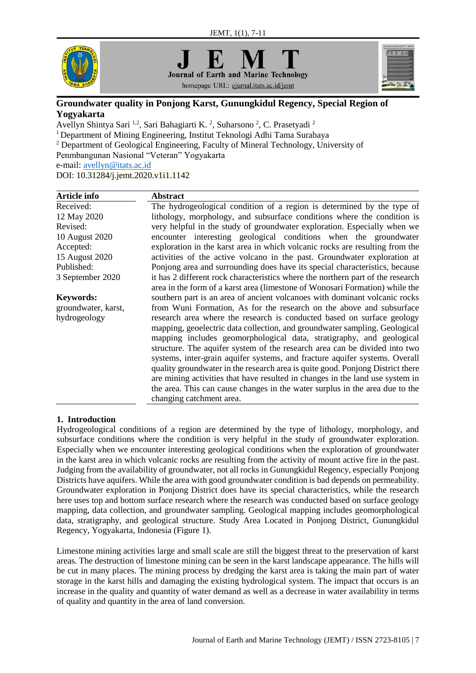

**Journal of Earth and Marine Technology** homepage URL: ejurnal.itats.ac.id/jemt



# **Groundwater quality in Ponjong Karst, Gunungkidul Regency, Special Region of Yogyakarta**

Avellyn Shintya Sari <sup>1,2</sup>, Sari Bahagiarti K. <sup>2</sup>, Suharsono <sup>2</sup>, C. Prasetyadi <sup>2</sup> <sup>1</sup>Department of Mining Engineering, Institut Teknologi Adhi Tama Surabaya <sup>2</sup> Department of Geological Engineering, Faculty of Mineral Technology, University of Penmbangunan Nasional "Veteran" Yogyakarta e-mail: [avellyn@itats.ac.id](mailto:avellyn@itats.ac.id) DOI: [10.31284/j.jemt.2020.v1i1.1142](https://doi.org/10.31284/j.jemt.2020.v1i1.1142)

| <b>Article info</b> | <b>Abstract</b>                                                                 |
|---------------------|---------------------------------------------------------------------------------|
| Received:           | The hydrogeological condition of a region is determined by the type of          |
| 12 May 2020         | lithology, morphology, and subsurface conditions where the condition is         |
| Revised:            | very helpful in the study of groundwater exploration. Especially when we        |
| 10 August 2020      | encounter interesting geological conditions when the groundwater                |
| Accepted:           | exploration in the karst area in which volcanic rocks are resulting from the    |
| 15 August 2020      | activities of the active volcano in the past. Groundwater exploration at        |
| Published:          | Ponjong area and surrounding does have its special characteristics, because     |
| 3 September 2020    | it has 2 different rock characteristics where the northern part of the research |
|                     | area in the form of a karst area (limestone of Wonosari Formation) while the    |
| <b>Keywords:</b>    | southern part is an area of ancient volcanoes with dominant volcanic rocks      |
| groundwater, karst, | from Wuni Formation, As for the research on the above and subsurface            |
| hydrogeology        | research area where the research is conducted based on surface geology          |
|                     | mapping, geoelectric data collection, and groundwater sampling. Geological      |
|                     | mapping includes geomorphological data, stratigraphy, and geological            |
|                     | structure. The aquifer system of the research area can be divided into two      |
|                     | systems, inter-grain aquifer systems, and fracture aquifer systems. Overall     |
|                     | quality groundwater in the research area is quite good. Ponjong District there  |
|                     | are mining activities that have resulted in changes in the land use system in   |
|                     | the area. This can cause changes in the water surplus in the area due to the    |
|                     | changing catchment area.                                                        |

# **1. Introduction**

Hydrogeological conditions of a region are determined by the type of lithology, morphology, and subsurface conditions where the condition is very helpful in the study of groundwater exploration. Especially when we encounter interesting geological conditions when the exploration of groundwater in the karst area in which volcanic rocks are resulting from the activity of mount active fire in the past. Judging from the availability of groundwater, not all rocks in Gunungkidul Regency, especially Ponjong Districts have aquifers. While the area with good groundwater condition is bad depends on permeability. Groundwater exploration in Ponjong District does have its special characteristics, while the research here uses top and bottom surface research where the research was conducted based on surface geology mapping, data collection, and groundwater sampling. Geological mapping includes geomorphological data, stratigraphy, and geological structure. Study Area Located in Ponjong District, Gunungkidul Regency, Yogyakarta, Indonesia (Figure 1).

Limestone mining activities large and small scale are still the biggest threat to the preservation of karst areas. The destruction of limestone mining can be seen in the karst landscape appearance. The hills will be cut in many places. The mining process by dredging the karst area is taking the main part of water storage in the karst hills and damaging the existing hydrological system. The impact that occurs is an increase in the quality and quantity of water demand as well as a decrease in water availability in terms of quality and quantity in the area of land conversion.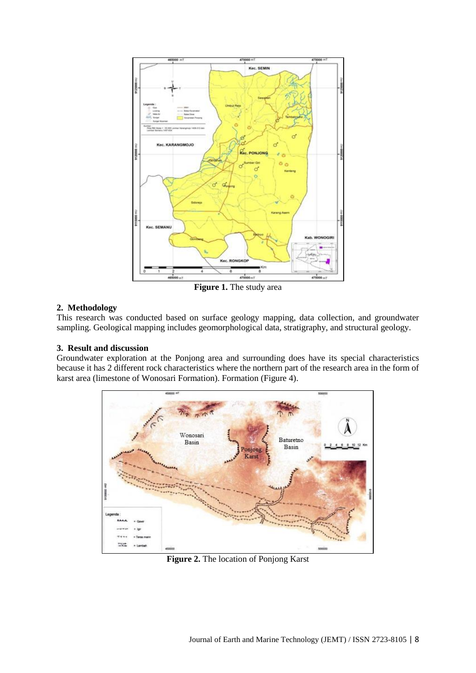

**Figure 1.** The study area

## **2. Methodology**

This research was conducted based on surface geology mapping, data collection, and groundwater sampling. Geological mapping includes geomorphological data, stratigraphy, and structural geology.

#### **3. Result and discussion**

Groundwater exploration at the Ponjong area and surrounding does have its special characteristics because it has 2 different rock characteristics where the northern part of the research area in the form of karst area (limestone of Wonosari Formation). Formation (Figure 4).



**Figure 2.** The location of Ponjong Karst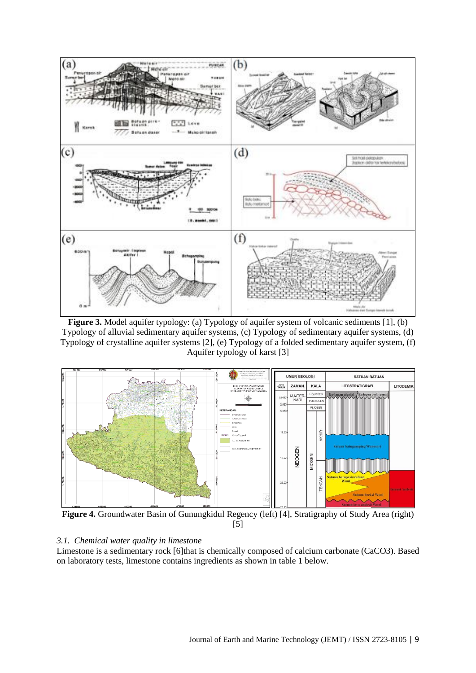

**Figure 3.** Model aquifer typology: (a) Typology of aquifer system of volcanic sediments [1], (b) Typology of alluvial sedimentary aquifer systems, (c) Typology of sedimentary aquifer systems, (d) Typology of crystalline aquifer systems [2], (e) Typology of a folded sedimentary aquifer system, (f) Aquifer typology of karst [3]



**Figure 4.** Groundwater Basin of Gunungkidul Regency (left) [4], Stratigraphy of Study Area (right) [5]

#### *3.1. Chemical water quality in limestone*

Limestone is a sedimentary rock [6]that is chemically composed of calcium carbonate (CaCO3). Based on laboratory tests, limestone contains ingredients as shown in table 1 below.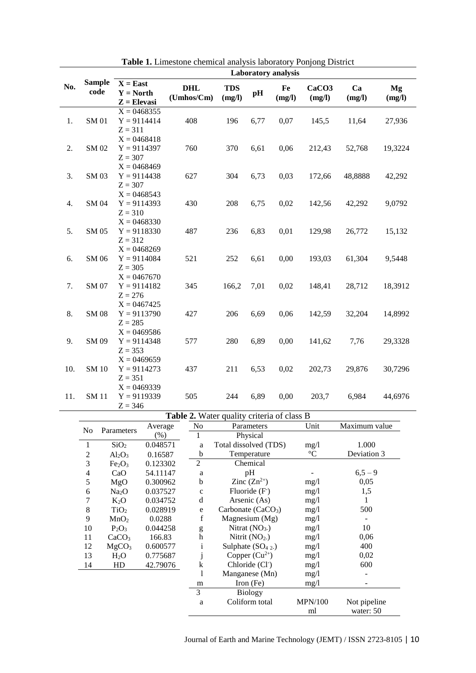|     |                       | <b>Laboratory</b> analysis                 |                          |                      |                                                             |              |                             |              |              |  |
|-----|-----------------------|--------------------------------------------|--------------------------|----------------------|-------------------------------------------------------------|--------------|-----------------------------|--------------|--------------|--|
| No. | <b>Sample</b><br>code | $X = East$<br>$Y = North$<br>$Z = Elevasi$ | <b>DHL</b><br>(Umhos/Cm) | <b>TDS</b><br>(mg/l) | pH                                                          | Fe<br>(mg/l) | CaCO <sub>3</sub><br>(mg/l) | Ca<br>(mg/l) | Mg<br>(mg/l) |  |
|     |                       | $X = 0.468355$                             |                          |                      |                                                             |              |                             |              |              |  |
| 1.  | <b>SM01</b>           | $Y = 9114414$                              | 408                      | 196                  | 6,77                                                        | 0,07         | 145,5                       | 11,64        | 27,936       |  |
|     |                       | $Z = 311$                                  |                          |                      |                                                             |              |                             |              |              |  |
|     |                       | $X = 0468418$                              |                          |                      |                                                             |              |                             |              |              |  |
| 2.  | SM 02                 | $Y = 9114397$                              | 760                      | 370                  | 6,61                                                        | 0,06         | 212,43                      | 52,768       | 19,3224      |  |
|     |                       | $Z = 307$                                  |                          |                      |                                                             |              |                             |              |              |  |
|     |                       | $X = 0468469$                              |                          |                      |                                                             |              |                             |              |              |  |
| 3.  | SM 03                 | $Y = 9114438$                              | 627                      | 304                  | 6,73                                                        | 0,03         | 172,66                      | 48,8888      | 42,292       |  |
|     |                       | $Z = 307$                                  |                          |                      |                                                             |              |                             |              |              |  |
|     |                       | $X = 0.468543$                             |                          |                      |                                                             |              |                             |              |              |  |
| 4.  | SM 04                 | $Y = 9114393$                              | 430                      | 208                  | 6,75                                                        | 0,02         | 142,56                      | 42,292       | 9,0792       |  |
|     |                       | $Z = 310$                                  |                          |                      |                                                             |              |                             |              |              |  |
|     |                       | $X = 0468330$                              |                          |                      |                                                             |              |                             |              |              |  |
| 5.  | SM 05                 | $Y = 9118330$                              | 487                      | 236                  | 6,83                                                        | 0,01         | 129,98                      | 26,772       | 15,132       |  |
|     |                       | $Z = 312$                                  |                          |                      |                                                             |              |                             |              |              |  |
|     |                       | $X = 0468269$                              |                          |                      |                                                             |              |                             |              |              |  |
| 6.  | SM 06                 | $Y = 9114084$                              | 521                      | 252                  | 6,61                                                        | 0,00         | 193,03                      | 61,304       | 9,5448       |  |
|     |                       | $Z = 305$                                  |                          |                      |                                                             |              |                             |              |              |  |
|     |                       | $X = 0.467670$                             |                          |                      |                                                             |              |                             |              |              |  |
| 7.  | SM 07                 | $Y = 9114182$                              | 345                      | 166,2                | 7,01                                                        | 0,02         | 148,41                      | 28,712       | 18,3912      |  |
|     |                       | $Z = 276$                                  |                          |                      |                                                             |              |                             |              |              |  |
|     |                       | $X = 0467425$                              |                          |                      |                                                             |              |                             |              |              |  |
| 8.  | <b>SM08</b>           | $Y = 9113790$                              | 427                      | 206                  | 6,69                                                        | 0,06         | 142,59                      | 32,204       | 14,8992      |  |
|     |                       | $Z = 285$                                  |                          |                      |                                                             |              |                             |              |              |  |
|     |                       | $X = 0.469586$                             |                          |                      |                                                             |              |                             |              |              |  |
| 9.  | SM 09                 | $Y = 9114348$                              | 577                      | 280                  | 6,89                                                        | 0,00         | 141,62                      | 7,76         | 29,3328      |  |
|     |                       | $Z = 353$                                  |                          |                      |                                                             |              |                             |              |              |  |
|     |                       | $X = 0.469659$                             |                          |                      |                                                             |              |                             |              |              |  |
| 10. | <b>SM10</b>           | $Y = 9114273$                              | 437                      | 211                  | 6,53                                                        | 0,02         | 202,73                      | 29,876       | 30,7296      |  |
|     |                       | $Z = 351$                                  |                          |                      |                                                             |              |                             |              |              |  |
|     |                       | $X = 0.469339$                             |                          |                      |                                                             |              |                             |              |              |  |
| 11. | <b>SM11</b>           | $Y = 9119339$                              | 505                      | 244                  | 6,89                                                        | 0,00         | 203,7                       | 6,984        | 44,6976      |  |
|     |                       | $Z = 346$                                  |                          |                      |                                                             |              |                             |              |              |  |
|     |                       |                                            | T11A W1                  | $\mathbf{1}$         | $\mathcal{F}_{\mathcal{A}}$ and $\mathcal{F}_{\mathcal{A}}$ | $C = 1$      | D                           |              |              |  |

**Table 1.** Limestone chemical analysis laboratory Ponjong District

|                              |                                |          |                | <b>Table 2.</b> Water quality criteria of class B |                 |               |
|------------------------------|--------------------------------|----------|----------------|---------------------------------------------------|-----------------|---------------|
| N <sub>0</sub><br>Parameters |                                | Average  | No             | Parameters                                        | Unit            | Maximum value |
|                              |                                | (% )     |                | Physical                                          |                 |               |
| 1                            | SiO <sub>2</sub>               | 0.048571 | a              | Total dissolved (TDS)<br>mg/1                     |                 | 1.000         |
| $\overline{c}$               | $Al_2O_3$                      | 0.16587  | b              | Temperature                                       | $\rm ^{\circ}C$ | Deviation 3   |
| 3                            | Fe <sub>2</sub> O <sub>3</sub> | 0.123302 | $\overline{c}$ | Chemical                                          |                 |               |
| 4                            | CaO                            | 54.11147 | a              | pH                                                |                 | $6,5-9$       |
| 5                            | MgO                            | 0.300962 | b              | Zinc $(Zn^{2+})$                                  | mg/1            | 0,05          |
| 6                            | Na <sub>2</sub> O              | 0.037527 | $\mathbf c$    | Fluoride $(F)$                                    | mg/1            | 1,5           |
| 7                            | $K_2O$                         | 0.034752 | d              | Arsenic (As)                                      | mg/1            | 1             |
| 8                            | TiO <sub>2</sub>               | 0.028919 | e              | Carbonate $(CaCO3)$                               | mg/1            | 500           |
| 9                            | MnO <sub>2</sub>               | 0.0288   | f              | Magnesium $(Mg)$                                  | mg/1            |               |
| 10                           | $P_2O_3$                       | 0.044258 | g              | Nitrat $(NO3.)$                                   | mg/1            | 10            |
| 11                           | CaCO <sub>3</sub>              | 166.83   | h              | Nitrit $(NO2.)$                                   | mg/1            | 0,06          |
| 12                           | MgCO <sub>3</sub>              | 0.600577 | $\mathbf{1}$   | Sulphate $(SO42)$                                 | mg/1            | 400           |
| 13                           | $H_2O$                         | 0.775687 |                | Copper $(Cu^{2+})$                                | mg/1            | 0,02          |
| 14                           | HD                             | 42.79076 | k              | Chloride (Cl <sup>-</sup> )                       | mg/1            | 600           |
|                              |                                |          | 1              | Manganese (Mn)                                    | mg/1            |               |
|                              |                                |          | m              | Iron $(Fe)$                                       | mg/1            |               |
|                              |                                |          | 3              | <b>Biology</b>                                    |                 |               |
|                              |                                |          | a              | Coliform total                                    | <b>MPN/100</b>  | Not pipeline  |
|                              |                                |          |                |                                                   | ml              | water: 50     |